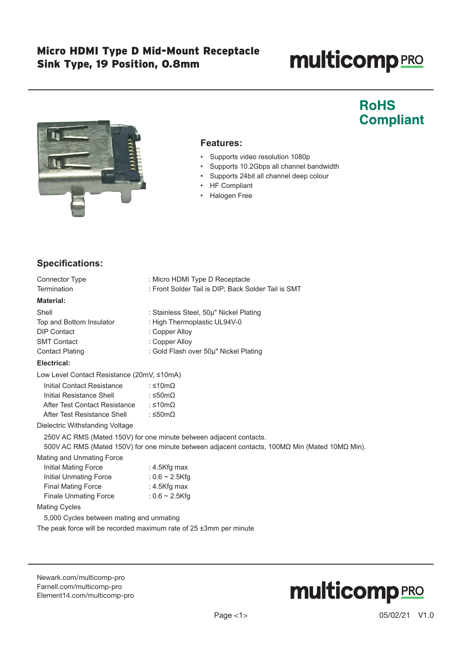# **multicomp**PRO

## **RoHS Compliant**



#### **Features:**

- Supports video resolution 1080p
- Supports 10.2Gbps all channel bandwidth
- Supports 24bit all channel deep colour
- HF Compliant
- Halogen Free

#### **Specifications:**

| <b>Connector Type</b>                                                                                                                                                | : Micro HDMI Type D Receptacle                      |  |  |
|----------------------------------------------------------------------------------------------------------------------------------------------------------------------|-----------------------------------------------------|--|--|
| Termination                                                                                                                                                          | : Front Solder Tail is DIP; Back Solder Tail is SMT |  |  |
| <b>Material:</b>                                                                                                                                                     |                                                     |  |  |
| Shell                                                                                                                                                                | : Stainless Steel, 50µ" Nickel Plating              |  |  |
| Top and Bottom Insulator                                                                                                                                             | : High Thermoplastic UL94V-0                        |  |  |
| <b>DIP Contact</b>                                                                                                                                                   | : Copper Alloy                                      |  |  |
| <b>SMT Contact</b>                                                                                                                                                   | : Copper Alloy                                      |  |  |
| <b>Contact Plating</b>                                                                                                                                               | : Gold Flash over 50µ" Nickel Plating               |  |  |
| Electrical:                                                                                                                                                          |                                                     |  |  |
| Low Level Contact Resistance (20mV, ≤10mA)                                                                                                                           |                                                     |  |  |
| Initial Contact Resistance                                                                                                                                           | : ≤10m $\Omega$                                     |  |  |
| Initial Resistance Shell $\leq$ 50m $\Omega$                                                                                                                         |                                                     |  |  |
| After Test Contact Resistance : $\leq 10 \text{m}\Omega$                                                                                                             |                                                     |  |  |
| After Test Resistance Shell $\leq 50 \text{m}\Omega$                                                                                                                 |                                                     |  |  |
| Dielectric Withstanding Voltage                                                                                                                                      |                                                     |  |  |
| 250V AC RMS (Mated 150V) for one minute between adjacent contacts.<br>500V AC RMS (Mated 150V) for one minute between adjacent contacts, 100MΩ Min (Mated 10MΩ Min). |                                                     |  |  |
| Mating and Unmating Force                                                                                                                                            |                                                     |  |  |
| Initial Mating Force                                                                                                                                                 | : 4.5Kfg max                                        |  |  |
| Initial Unmating Force : 0.6 ~ 2.5Kfg                                                                                                                                |                                                     |  |  |
| Final Mating Force : 4.5Kfg max                                                                                                                                      |                                                     |  |  |
| Finale Unmating Force                                                                                                                                                | : $0.6 \sim 2.5$ Kfg                                |  |  |
| <b>Mating Cycles</b>                                                                                                                                                 |                                                     |  |  |
| 5,000 Cycles between mating and unmating                                                                                                                             |                                                     |  |  |
| The peak force will be recorded maximum rate of 25 ±3mm per minute                                                                                                   |                                                     |  |  |

[Newark.com/multicomp-](https://www.newark.com/multicomp-pro)pro [Farnell.com/multicomp](https://www.farnell.com/multicomp-pro)-pro [Element14.com/multicomp-pro](https://element14.com/multicomp-pro)

# **multicomp**PRO